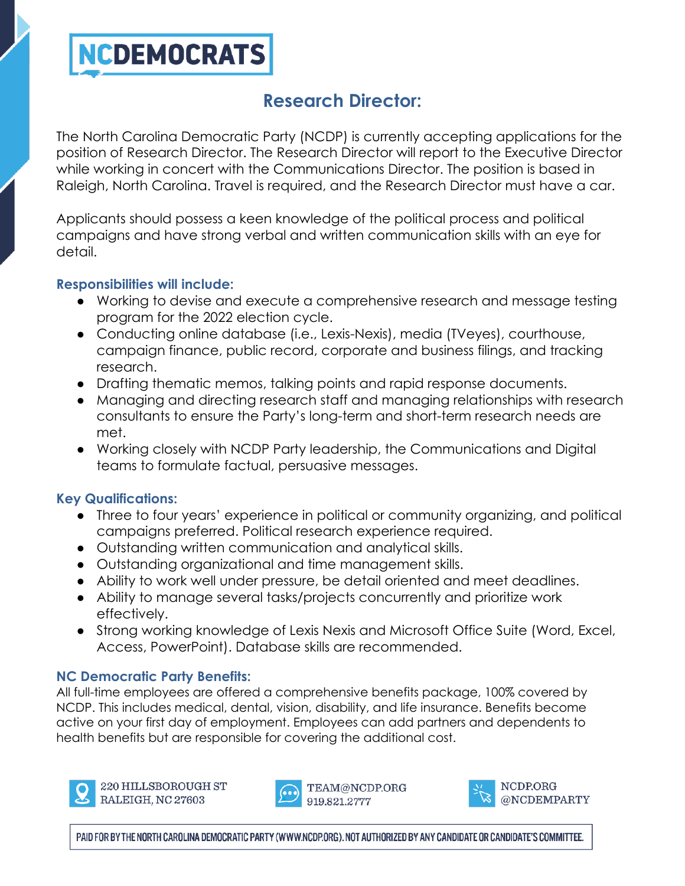# **NCDEMOCRATS**

# **Research Director:**

The North Carolina Democratic Party (NCDP) is currently accepting applications for the position of Research Director. The Research Director will report to the Executive Director while working in concert with the Communications Director. The position is based in Raleigh, North Carolina. Travel is required, and the Research Director must have a car.

Applicants should possess a keen knowledge of the political process and political campaigns and have strong verbal and written communication skills with an eye for detail.

#### **Responsibilities will include:**

- Working to devise and execute a comprehensive research and message testing program for the 2022 election cycle.
- Conducting online database (i.e., Lexis-Nexis), media (TVeyes), courthouse, campaign finance, public record, corporate and business filings, and tracking research.
- Drafting thematic memos, talking points and rapid response documents.
- Managing and directing research staff and managing relationships with research consultants to ensure the Party's long-term and short-term research needs are met.
- Working closely with NCDP Party leadership, the Communications and Digital teams to formulate factual, persuasive messages.

## **Key Qualifications:**

- Three to four years' experience in political or community organizing, and political campaigns preferred. Political research experience required.
- Outstanding written communication and analytical skills.
- Outstanding organizational and time management skills.
- Ability to work well under pressure, be detail oriented and meet deadlines.
- Ability to manage several tasks/projects concurrently and prioritize work effectively.
- Strong working knowledge of Lexis Nexis and Microsoft Office Suite (Word, Excel, Access, PowerPoint). Database skills are recommended.

# **NC Democratic Party Benefits:**

All full-time employees are offered a comprehensive benefits package, 100% covered by NCDP. This includes medical, dental, vision, disability, and life insurance. Benefits become active on your first day of employment. Employees can add partners and dependents to health benefits but are responsible for covering the additional cost.



220 HILLSBOROUGH ST RALEIGH, NC 27603



TEAM@NCDP.ORG 919.821.2777



NCDP.ORG @NCDEMPARTY

PAID FOR BY THE NORTH CAROLINA DEMOCRATIC PARTY (WWW.NCDP.ORG). NOT AUTHORIZED BY ANY CANDIDATE OR CANDIDATE'S COMMITTEE.